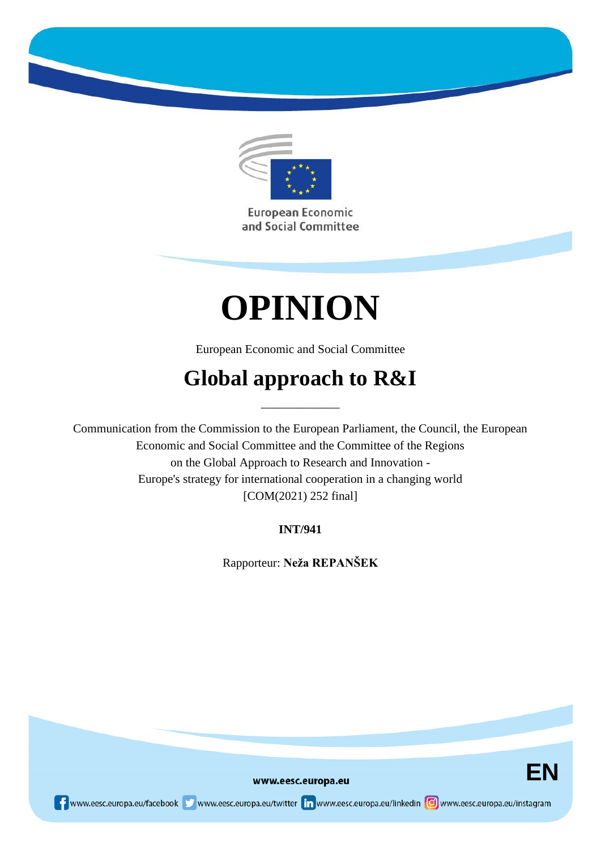

European Economic and Social Committee

# **OPINION**

European Economic and Social Committee

## **Global approach to R&I**

\_\_\_\_\_\_\_\_\_\_\_\_\_

Communication from the Commission to the European Parliament, the Council, the European Economic and Social Committee and the Committee of the Regions on the Global Approach to Research and Innovation - Europe's strategy for international cooperation in a changing world [COM(2021) 252 final]

**INT/941**

Rapporteur: **Neža REPANŠEK**



www.eesc.europa.eu

re www.eesc.europa.eu/facebook www.eesc.europa.eu/twitter in www.eesc.europa.eu/linkedin oww.eesc.europa.eu/instagram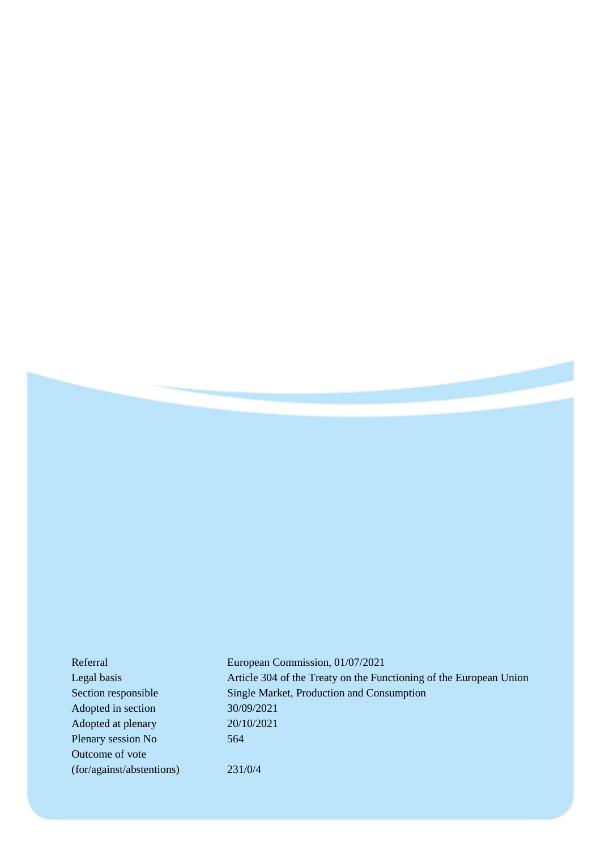| Referral                  | European Commission, 01/07/2021                                    |
|---------------------------|--------------------------------------------------------------------|
| Legal basis               | Article 304 of the Treaty on the Functioning of the European Union |
| Section responsible       | Single Market, Production and Consumption                          |
| Adopted in section        | 30/09/2021                                                         |
| Adopted at plenary        | 20/10/2021                                                         |
| Plenary session No        | 564                                                                |
| Outcome of vote           |                                                                    |
| (for/against/abstentions) | 231/0/4                                                            |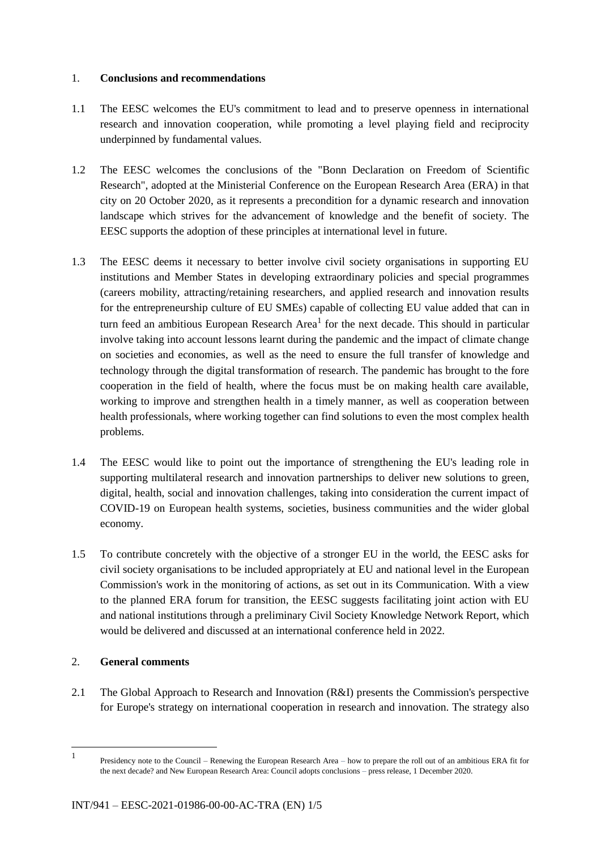#### 1. **Conclusions and recommendations**

- 1.1 The EESC welcomes the EU's commitment to lead and to preserve openness in international research and innovation cooperation, while promoting a level playing field and reciprocity underpinned by fundamental values.
- 1.2 The EESC welcomes the conclusions of the "Bonn Declaration on Freedom of Scientific Research", adopted at the Ministerial Conference on the European Research Area (ERA) in that city on 20 October 2020, as it represents a precondition for a dynamic research and innovation landscape which strives for the advancement of knowledge and the benefit of society. The EESC supports the adoption of these principles at international level in future.
- 1.3 The EESC deems it necessary to better involve civil society organisations in supporting EU institutions and Member States in developing extraordinary policies and special programmes (careers mobility, attracting/retaining researchers, and applied research and innovation results for the entrepreneurship culture of EU SMEs) capable of collecting EU value added that can in turn feed an ambitious European Research Area<sup>1</sup> for the next decade. This should in particular involve taking into account lessons learnt during the pandemic and the impact of climate change on societies and economies, as well as the need to ensure the full transfer of knowledge and technology through the digital transformation of research. The pandemic has brought to the fore cooperation in the field of health, where the focus must be on making health care available, working to improve and strengthen health in a timely manner, as well as cooperation between health professionals, where working together can find solutions to even the most complex health problems.
- 1.4 The EESC would like to point out the importance of strengthening the EU's leading role in supporting multilateral research and innovation partnerships to deliver new solutions to green, digital, health, social and innovation challenges, taking into consideration the current impact of COVID-19 on European health systems, societies, business communities and the wider global economy.
- 1.5 To contribute concretely with the objective of a stronger EU in the world, the EESC asks for civil society organisations to be included appropriately at EU and national level in the European Commission's work in the monitoring of actions, as set out in its Communication. With a view to the planned ERA forum for transition, the EESC suggests facilitating joint action with EU and national institutions through a preliminary Civil Society Knowledge Network Report, which would be delivered and discussed at an international conference held in 2022.

#### 2. **General comments**

l

2.1 The Global Approach to Research and Innovation (R&I) presents the Commission's perspective for Europe's strategy on international cooperation in research and innovation. The strategy also

<sup>1</sup> Presidency note to the Council – Renewing the European Research Area – how to prepare the roll out of an ambitious ERA fit for the next decade? and New European Research Area: Council adopts conclusions – press release, 1 December 2020.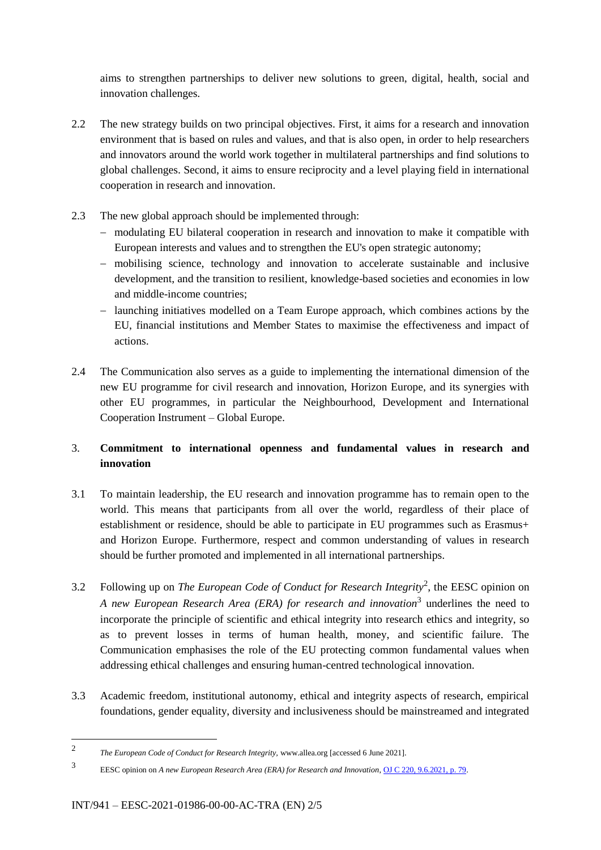aims to strengthen partnerships to deliver new solutions to green, digital, health, social and innovation challenges.

- 2.2 The new strategy builds on two principal objectives. First, it aims for a research and innovation environment that is based on rules and values, and that is also open, in order to help researchers and innovators around the world work together in multilateral partnerships and find solutions to global challenges. Second, it aims to ensure reciprocity and a level playing field in international cooperation in research and innovation.
- 2.3 The new global approach should be implemented through:
	- modulating EU bilateral cooperation in research and innovation to make it compatible with European interests and values and to strengthen the EU's open strategic autonomy;
	- mobilising science, technology and innovation to accelerate sustainable and inclusive development, and the transition to resilient, knowledge-based societies and economies in low and middle-income countries;
	- launching initiatives modelled on a Team Europe approach, which combines actions by the EU, financial institutions and Member States to maximise the effectiveness and impact of actions.
- 2.4 The Communication also serves as a guide to implementing the international dimension of the new EU programme for civil research and innovation, Horizon Europe, and its synergies with other EU programmes, in particular the Neighbourhood, Development and International Cooperation Instrument – Global Europe.

### 3. **Commitment to international openness and fundamental values in research and innovation**

- 3.1 To maintain leadership, the EU research and innovation programme has to remain open to the world. This means that participants from all over the world, regardless of their place of establishment or residence, should be able to participate in EU programmes such as Erasmus+ and Horizon Europe. Furthermore, respect and common understanding of values in research should be further promoted and implemented in all international partnerships.
- 3.2 Following up on *The European Code of Conduct for Research Integrity*<sup>2</sup> , the EESC opinion on A new European Research Area (ERA) for research and innovation<sup>3</sup> underlines the need to incorporate the principle of scientific and ethical integrity into research ethics and integrity, so as to prevent losses in terms of human health, money, and scientific failure. The Communication emphasises the role of the EU protecting common fundamental values when addressing ethical challenges and ensuring human-centred technological innovation.
- 3.3 Academic freedom, institutional autonomy, ethical and integrity aspects of research, empirical foundations, gender equality, diversity and inclusiveness should be mainstreamed and integrated

l

<sup>2</sup> *The European Code of Conduct for Research Integrity,* www.allea.org [accessed 6 June 2021].

<sup>3</sup> EESC opinion on *A new European Research Area (ERA) for Research and Innovation*[, OJ C 220, 9.6.2021, p. 79.](https://eur-lex.europa.eu/LexUriServ/LexUriServ.do?uri=OJ:C:2021:220:SOM:EN:HTML)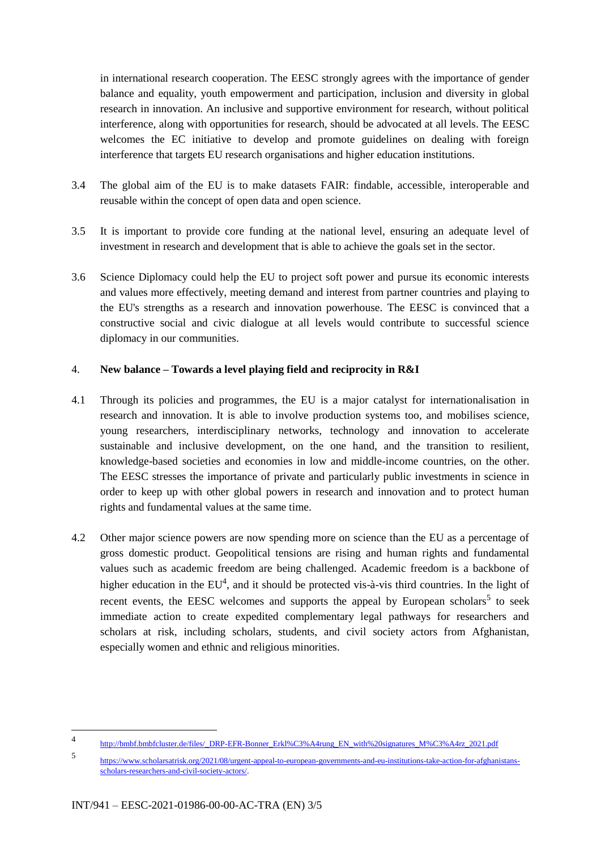in international research cooperation. The EESC strongly agrees with the importance of gender balance and equality, youth empowerment and participation, inclusion and diversity in global research in innovation. An inclusive and supportive environment for research, without political interference, along with opportunities for research, should be advocated at all levels. The EESC welcomes the EC initiative to develop and promote guidelines on dealing with foreign interference that targets EU research organisations and higher education institutions.

- 3.4 The global aim of the EU is to make datasets FAIR: findable, accessible, interoperable and reusable within the concept of open data and open science.
- 3.5 It is important to provide core funding at the national level, ensuring an adequate level of investment in research and development that is able to achieve the goals set in the sector.
- 3.6 Science Diplomacy could help the EU to project soft power and pursue its economic interests and values more effectively, meeting demand and interest from partner countries and playing to the EU's strengths as a research and innovation powerhouse. The EESC is convinced that a constructive social and civic dialogue at all levels would contribute to successful science diplomacy in our communities.

#### 4. **New balance – Towards a level playing field and reciprocity in R&I**

- 4.1 Through its policies and programmes, the EU is a major catalyst for internationalisation in research and innovation. It is able to involve production systems too, and mobilises science, young researchers, interdisciplinary networks, technology and innovation to accelerate sustainable and inclusive development, on the one hand, and the transition to resilient, knowledge-based societies and economies in low and middle-income countries, on the other. The EESC stresses the importance of private and particularly public investments in science in order to keep up with other global powers in research and innovation and to protect human rights and fundamental values at the same time.
- 4.2 Other major science powers are now spending more on science than the EU as a percentage of gross domestic product. Geopolitical tensions are rising and human rights and fundamental values such as academic freedom are being challenged. Academic freedom is a backbone of higher education in the  $EU^4$ , and it should be protected vis-à-vis third countries. In the light of recent events, the EESC welcomes and supports the appeal by European scholars<sup>5</sup> to seek immediate action to create expedited complementary legal pathways for researchers and scholars at risk, including scholars, students, and civil society actors from Afghanistan, especially women and ethnic and religious minorities.

l

<sup>4</sup> [http://bmbf.bmbfcluster.de/files/\\_DRP-EFR-Bonner\\_Erkl%C3%A4rung\\_EN\\_with%20signatures\\_M%C3%A4rz\\_2021.pdf](http://bmbf.bmbfcluster.de/files/_DRP-EFR-Bonner_Erkl%C3%A4rung_EN_with%20signatures_M%C3%A4rz_2021.pdf)

<sup>5</sup> [https://www.scholarsatrisk.org/2021/08/urgent-appeal-to-european-governments-and-eu-institutions-take-action-for-afghanistans](https://www.scholarsatrisk.org/2021/08/urgent-appeal-to-european-governments-and-eu-institutions-take-action-for-afghanistans-scholars-researchers-and-civil-society-actors/)[scholars-researchers-and-civil-society-actors/.](https://www.scholarsatrisk.org/2021/08/urgent-appeal-to-european-governments-and-eu-institutions-take-action-for-afghanistans-scholars-researchers-and-civil-society-actors/)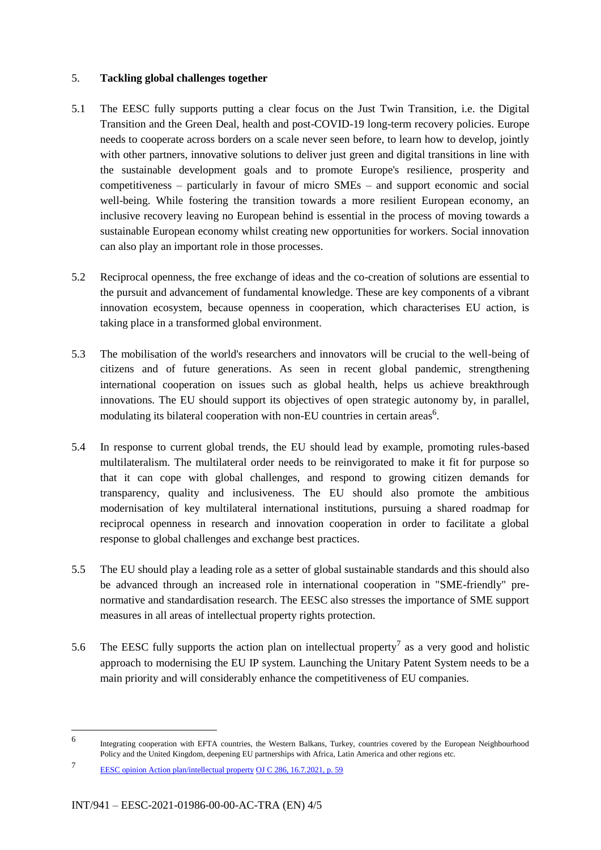#### 5. **Tackling global challenges together**

- 5.1 The EESC fully supports putting a clear focus on the Just Twin Transition, i.e. the Digital Transition and the Green Deal, health and post-COVID-19 long-term recovery policies. Europe needs to cooperate across borders on a scale never seen before, to learn how to develop, jointly with other partners, innovative solutions to deliver just green and digital transitions in line with the sustainable development goals and to promote Europe's resilience, prosperity and competitiveness – particularly in favour of micro SMEs – and support economic and social well-being. While fostering the transition towards a more resilient European economy, an inclusive recovery leaving no European behind is essential in the process of moving towards a sustainable European economy whilst creating new opportunities for workers. Social innovation can also play an important role in those processes.
- 5.2 Reciprocal openness, the free exchange of ideas and the co-creation of solutions are essential to the pursuit and advancement of fundamental knowledge. These are key components of a vibrant innovation ecosystem, because openness in cooperation, which characterises EU action, is taking place in a transformed global environment.
- 5.3 The mobilisation of the world's researchers and innovators will be crucial to the well-being of citizens and of future generations. As seen in recent global pandemic, strengthening international cooperation on issues such as global health, helps us achieve breakthrough innovations. The EU should support its objectives of open strategic autonomy by, in parallel, modulating its bilateral cooperation with non-EU countries in certain areas<sup>6</sup>.
- 5.4 In response to current global trends, the EU should lead by example, promoting rules-based multilateralism. The multilateral order needs to be reinvigorated to make it fit for purpose so that it can cope with global challenges, and respond to growing citizen demands for transparency, quality and inclusiveness. The EU should also promote the ambitious modernisation of key multilateral international institutions, pursuing a shared roadmap for reciprocal openness in research and innovation cooperation in order to facilitate a global response to global challenges and exchange best practices.
- 5.5 The EU should play a leading role as a setter of global sustainable standards and this should also be advanced through an increased role in international cooperation in "SME-friendly" prenormative and standardisation research. The EESC also stresses the importance of SME support measures in all areas of intellectual property rights protection.
- 5.6 The EESC fully supports the action plan on intellectual property<sup>7</sup> as a very good and holistic approach to modernising the EU IP system. Launching the Unitary Patent System needs to be a main priority and will considerably enhance the competitiveness of EU companies.

l

<sup>6</sup> Integrating cooperation with EFTA countries, the Western Balkans, Turkey, countries covered by the European Neighbourhood Policy and the United Kingdom, deepening EU partnerships with Africa, Latin America and other regions etc.

<sup>7</sup> [EESC opinion Action plan/intellectual property](https://www.eesc.europa.eu/en/our-work/opinions-information-reports/opinions/action-planintellectual-property) [OJ C 286, 16.7.2021, p. 59](https://eur-lex.europa.eu/legal-content/EN/TXT/PDF/?uri=CELEX:52020AE5871&rid=3)